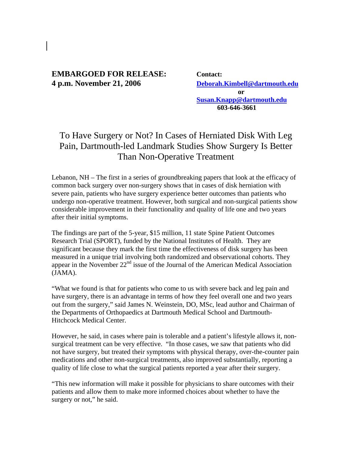## **EMBARGOED FOR RELEASE: Contact: 4 p.m. November 21, 2006 Deborah.Kimbell@dartmouth.edu**

 **or Susan.Knapp@dartmouth.edu 603-646-3661** 

## To Have Surgery or Not? In Cases of Herniated Disk With Leg Pain, Dartmouth-led Landmark Studies Show Surgery Is Better Than Non-Operative Treatment

Lebanon, NH – The first in a series of groundbreaking papers that look at the efficacy of common back surgery over non-surgery shows that in cases of disk herniation with severe pain, patients who have surgery experience better outcomes than patients who undergo non-operative treatment. However, both surgical and non-surgical patients show considerable improvement in their functionality and quality of life one and two years after their initial symptoms.

The findings are part of the 5-year, \$15 million, 11 state Spine Patient Outcomes Research Trial (SPORT), funded by the National Institutes of Health. They are significant because they mark the first time the effectiveness of disk surgery has been measured in a unique trial involving both randomized and observational cohorts. They appear in the November  $22<sup>nd</sup>$  issue of the Journal of the American Medical Association (JAMA).

"What we found is that for patients who come to us with severe back and leg pain and have surgery, there is an advantage in terms of how they feel overall one and two years out from the surgery," said James N. Weinstein, DO, MSc, lead author and Chairman of the Departments of Orthopaedics at Dartmouth Medical School and Dartmouth-Hitchcock Medical Center.

However, he said, in cases where pain is tolerable and a patient's lifestyle allows it, nonsurgical treatment can be very effective. "In those cases, we saw that patients who did not have surgery, but treated their symptoms with physical therapy, over-the-counter pain medications and other non-surgical treatments, also improved substantially, reporting a quality of life close to what the surgical patients reported a year after their surgery.

"This new information will make it possible for physicians to share outcomes with their patients and allow them to make more informed choices about whether to have the surgery or not," he said.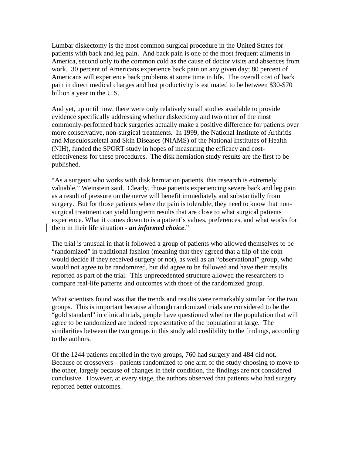Lumbar diskectomy is the most common surgical procedure in the United States for patients with back and leg pain. And back pain is one of the most frequent ailments in America, second only to the common cold as the cause of doctor visits and absences from work. 30 percent of Americans experience back pain on any given day; 80 percent of Americans will experience back problems at some time in life. The overall cost of back pain in direct medical charges and lost productivity is estimated to be between \$30-\$70 billion a year in the U.S.

And yet, up until now, there were only relatively small studies available to provide evidence specifically addressing whether diskectomy and two other of the most commonly-performed back surgeries actually make a positive difference for patients over more conservative, non-surgical treatments. In 1999, the National Institute of Arthritis and Musculoskeletal and Skin Diseases (NIAMS) of the National Institutes of Health (NIH), funded the SPORT study in hopes of measuring the efficacy and costeffectiveness for these procedures. The disk herniation study results are the first to be published.

"As a surgeon who works with disk herniation patients, this research is extremely valuable," Weinstein said. Clearly, those patients experiencing severe back and leg pain as a result of pressure on the nerve will benefit immediately and substantially from surgery. But for those patients where the pain is tolerable, they need to know that nonsurgical treatment can yield longterm results that are close to what surgical patients experience. What it comes down to is a patient's values, preferences, and what works for them in their life situation - *an informed choice*."

The trial is unusual in that it followed a group of patients who allowed themselves to be "randomized" in traditional fashion (meaning that they agreed that a flip of the coin would decide if they received surgery or not), as well as an "observational" group, who would not agree to be randomized, but did agree to be followed and have their results reported as part of the trial. This unprecedented structure allowed the researchers to compare real-life patterns and outcomes with those of the randomized group.

What scientists found was that the trends and results were remarkably similar for the two groups. This is important because although randomized trials are considered to be the "gold standard" in clinical trials, people have questioned whether the population that will agree to be randomized are indeed representative of the population at large. The similarities between the two groups in this study add credibility to the findings, according to the authors.

Of the 1244 patients enrolled in the two groups, 760 had surgery and 484 did not. Because of crossovers – patients randomized to one arm of the study choosing to move to the other, largely because of changes in their condition, the findings are not considered conclusive. However, at every stage, the authors observed that patients who had surgery reported better outcomes.